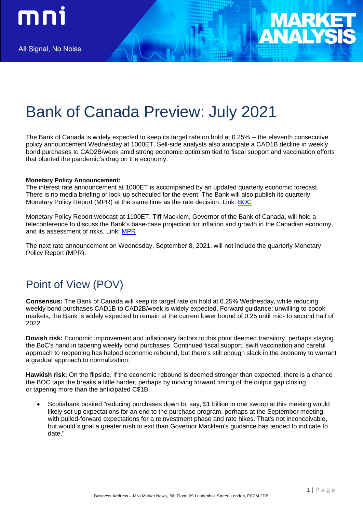

# Bank of Canada Preview: July 2021

The Bank of Canada is widely expected to keep its target rate on hold at 0.25% -- the eleventh consecutive policy announcement Wednesday at 1000ET. Sell-side analysts also anticipate a CAD1B decline in weekly bond purchases to CAD2B/week amid strong economic optimism tied to fiscal support and vaccination efforts that blunted the pandemic's drag on the economy.

#### **Monetary Policy Announcement:**

The interest rate announcement at 1000ET is accompanied by an updated quarterly economic forecast. There is no media briefing or lock-up scheduled for the event. The Bank will also publish its quarterly Monetary Policy Report (MPR) at the same time as the rate decision. Link: [BOC](https://www.bankofcanada.ca/)

Monetary Policy Report webcast at 1100ET. Tiff Macklem, Governor of the Bank of Canada, will hold a teleconference to discuss the Bank's base-case projection for inflation and growth in the Canadian economy, and its assessment of risks. Link: [MPR](https://www.bankofcanada.ca/multimedia/mpr-press-conference-webcasts-july-2021/)

The next rate announcement on Wednesday, September 8, 2021, will not include the quarterly Monetary Policy Report (MPR).

## Point of View (POV)

**Consensus:** The Bank of Canada will keep its target rate on hold at 0.25% Wednesday, while reducing weekly bond purchases CAD1B to CAD2B/week is widely expected. Forward guidance: unwilling to spook markets, the Bank is widely expected to remain at the current lower bound of 0.25 until mid- to second half of 2022.

**Dovish risk:** Economic improvement and inflationary factors to this point deemed transitory, perhaps staying the BoC's hand in tapering weekly bond purchases. Continued fiscal support, swift vaccination and careful approach to reopening has helped economic rebound, but there's still enough slack in the economy to warrant a gradual approach to normalization.

**Hawkish risk:** On the flipside, if the economic rebound is deemed stronger than expected, there is a chance the BOC taps the breaks a little harder, perhaps by moving forward timing of the output gap closing or tapering more than the anticipated C\$1B.

• Scotiabank posited "reducing purchases down to, say, \$1 billion in one swoop at this meeting would likely set up expectations for an end to the purchase program, perhaps at the September meeting, with pulled-forward expectations for a reinvestment phase and rate hikes. That's not inconceivable, but would signal a greater rush to exit than Governor Macklem's guidance has tended to indicate to date."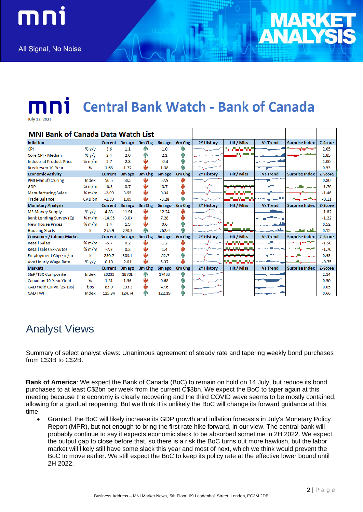All Signal, No Noise

mni



**Central Bank Watch - Bank of Canada** 

| <b>MNI Bank of Canada Data Watch List</b> |         |                |         |        |         |        |                   |                         |                 |                       |         |
|-------------------------------------------|---------|----------------|---------|--------|---------|--------|-------------------|-------------------------|-----------------|-----------------------|---------|
| Inflation                                 |         | <b>Current</b> | 3m ago  | 3m Chg | 6m ago  | 6m Chg | <b>2Y History</b> | Hit / Miss              | <b>Vs Trend</b> | <b>Surprise Index</b> | Z-Score |
| <b>CPI</b>                                | %y/y    | 3.6            | 1.1     |        | 1.0     |        |                   | المارا والمارون         |                 |                       | 2.05    |
| Core CPI - Median                         | %y/y    | 2.4            | 2.0     | hР     | 2.1     | qР     |                   | المواليا                |                 |                       | 1.85    |
| Industrial Product Price                  | % $m/m$ | 2.7            | 2.8     |        | $-0.4$  | ЯÑ     |                   |                         |                 |                       | 1.00    |
| Breakeven 10-Year                         | %       | 1.68           | 1.77    | ىلل    | 1.38    | иÑ     |                   |                         |                 |                       | 0.53    |
| <b>Economic Activity</b>                  |         | <b>Current</b> | 3m ago  | 3m Chg | 6m ago  | 6m Chg | <b>2Y History</b> | Hit / Miss              | <b>Vs Trend</b> | <b>Surprise Index</b> | Z-Score |
| <b>PMI Manufacturing</b>                  | Index   | 56.5           | 58.5    |        | 57.9    |        |                   |                         |                 |                       | 0.80    |
| <b>GDP</b>                                | % $m/m$ | $-0.3$         | 0.7     |        | 0.7     | ₩      |                   | والتواريسيات            |                 |                       | $-1.76$ |
| <b>Manufacturing Sales</b>                | % $m/m$ | $-2.09$        | 3.55    |        | 0.34    | ₩      |                   | سيستعد                  |                 |                       | $-1.46$ |
| Trade Balance                             | CAD bn  | $-1.39$        | 1.09    |        | $-3.28$ |        |                   |                         |                 |                       | $-0.11$ |
| <b>Monetary Analysis</b>                  |         | <b>Current</b> | 3m ago  | 3m Chg | 6m ago  | 6m Chg | <b>2Y History</b> | Hit / Miss              | <b>Vs Trend</b> | <b>Surprise Index</b> | Z-Score |
| M3 Money Supply                           | %y/y    | 4.83           | 11.94   |        | 12.24   |        |                   |                         |                 |                       | $-1.82$ |
| <b>Bank Lending Survey (Q)</b>            | % $m/m$ | $-14.95$       | $-3.03$ |        | 7.28    |        |                   |                         |                 |                       | $-1.22$ |
| New House Prices                          | % $m/m$ | 1.4            | 1.9     | ₩      | 0.6     |        |                   |                         |                 |                       | 0.52    |
| <b>Housing Starts</b>                     | к       | 275.9          | 270.8   | Йĥ     | 262.0   |        |                   |                         |                 |                       | 0.12    |
| <b>Consumer / Labour Market</b>           |         | <b>Current</b> | 3m ago  | 3m Chg | 6m ago  | 6m Chg | <b>2Y History</b> | Hit / Miss              | <b>Vs Trend</b> | <b>Surprise Index</b> | Z-Score |
| <b>Retail Sales</b>                       | % $m/m$ | $-5.7$         | 0.2     |        | 1.2     | ψ      |                   |                         |                 |                       | $-1.50$ |
| Retail sales Ex-Autos                     | % $m/m$ | $-7.2$         | 0.2     |        | 1.4     | ₩      |                   | <b>Barbara Ba</b>       |                 |                       | $-1.70$ |
| Employment Chge m/m                       | к       | 230.7          | 303.1   | J      | $-52.7$ | ńМ     |                   |                         |                 |                       | 0.93    |
| Ave Hourly Wage Rate                      | % $y/y$ | 0.10           | 2.01    | J      | 5.37    | والح   |                   | <b>The Common State</b> |                 |                       | $-0.75$ |
| <b>Markets</b>                            |         | <b>Current</b> | 3m ago  | 3m Chg | 6m ago  | 6m Chg | <b>2Y History</b> | Hit / Miss              | <b>Vs Trend</b> | <b>Surprise Index</b> | Z-Score |
| S&P/TSX Composite                         | Index   | 20233          | 18701   | ЙN     | 17433   | ЯÑ     |                   |                         |                 |                       | 2.14    |
| Canadian 10-Year Yield                    | %       | 1.31           | 1.56    |        | 0.68    | hн     |                   |                         |                 |                       | 0.50    |
| CAD Yield Curve (2s-10s)                  | bps     | 83.0           | 133.2   |        | 47.6    |        |                   |                         |                 |                       | 0.05    |
| <b>CAD TWI</b>                            | Index   | 125.34         | 124.74  |        | 122.19  |        |                   |                         |                 |                       | 0.66    |

## Analyst Views

Summary of select analyst views: Unanimous agreement of steady rate and tapering weekly bond purchases from C\$3B to C\$2B.

**Bank of America**: We expect the Bank of Canada (BoC) to remain on hold on 14 July, but reduce its bond purchases to at least C\$2bn per week from the current C\$3bn. We expect the BoC to taper again at this meeting because the economy is clearly recovering and the third COVID wave seems to be mostly contained, allowing for a gradual reopening. But we think it is unlikely the BoC will change its forward guidance at this time.

• Granted, the BoC will likely increase its GDP growth and inflation forecasts in July's Monetary Policy Report (MPR), but not enough to bring the first rate hike forward, in our view. The central bank will probably continue to say it expects economic slack to be absorbed sometime in 2H 2022. We expect the output gap to close before that, so there is a risk the BoC turns out more hawkish, but the labor market will likely still have some slack this year and most of next, which we think would prevent the BoC to move earlier. We still expect the BoC to keep its policy rate at the effective lower bound until 2H 2022.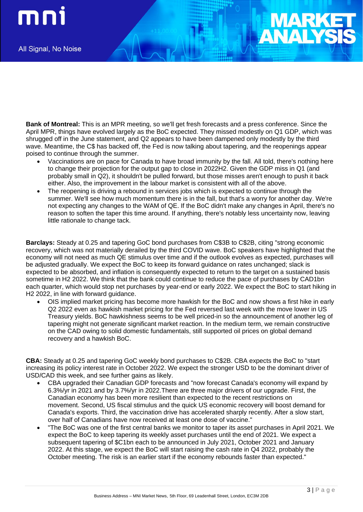mni

**Bank of Montreal:** This is an MPR meeting, so we'll get fresh forecasts and a press conference. Since the April MPR, things have evolved largely as the BoC expected. They missed modestly on Q1 GDP, which was shrugged off in the June statement, and Q2 appears to have been dampened only modestly by the third wave. Meantime, the C\$ has backed off, the Fed is now talking about tapering, and the reopenings appear poised to continue through the summer.

- Vaccinations are on pace for Canada to have broad immunity by the fall. All told, there's nothing here to change their projection for the output gap to close in 2022H2. Given the GDP miss in Q1 (and probably small in Q2), it shouldn't be pulled forward, but those misses aren't enough to push it back either. Also, the improvement in the labour market is consistent with all of the above.
- The reopening is driving a rebound in services jobs which is expected to continue through the summer. We'll see how much momentum there is in the fall, but that's a worry for another day. We're not expecting any changes to the WAM of QE. If the BoC didn't make any changes in April, there's no reason to soften the taper this time around. If anything, there's notably less uncertainty now, leaving little rationale to change tack.

**Barclays:** Steady at 0.25 and tapering GoC bond purchases from C\$3B to C\$2B, citing "strong economic recovery, which was not materially derailed by the third COVID wave. BoC speakers have highlighted that the economy will not need as much QE stimulus over time and if the outlook evolves as expected, purchases will be adjusted gradually. We expect the BoC to keep its forward guidance on rates unchanged; slack is expected to be absorbed, and inflation is consequently expected to return to the target on a sustained basis sometime in H2 2022. We think that the bank could continue to reduce the pace of purchases by CAD1bn each quarter, which would stop net purchases by year-end or early 2022. We expect the BoC to start hiking in H2 2022, in line with forward guidance.

• OIS implied market pricing has become more hawkish for the BoC and now shows a first hike in early Q2 2022 even as hawkish market pricing for the Fed reversed last week with the move lower in US Treasury yields. BoC hawkishness seems to be well priced-in so the announcement of another leg of tapering might not generate significant market reaction. In the medium term, we remain constructive on the CAD owing to solid domestic fundamentals, still supported oil prices on global demand recovery and a hawkish BoC.

**CBA:** Steady at 0.25 and tapering GoC weekly bond purchases to C\$2B. CBA expects the BoC to "start increasing its policy interest rate in October 2022. We expect the stronger USD to be the dominant driver of USD/CAD this week, and see further gains as likely.

- CBA upgraded their Canadian GDP forecasts and "now forecast Canada's economy will expand by 6.3%/yr in 2021 and by 3.7%/yr in 2022.There are three major drivers of our upgrade. First, the Canadian economy has been more resilient than expected to the recent restrictions on movement. Second, US fiscal stimulus and the quick US economic recovery will boost demand for Canada's exports. Third, the vaccination drive has accelerated sharply recently. After a slow start, over half of Canadians have now received at least one dose of vaccine."
- "The BoC was one of the first central banks we monitor to taper its asset purchases in April 2021. We expect the BoC to keep tapering its weekly asset purchases until the end of 2021. We expect a subsequent tapering of \$C1bn each to be announced in July 2021, October 2021 and January 2022. At this stage, we expect the BoC will start raising the cash rate in Q4 2022, probably the October meeting. The risk is an earlier start if the economy rebounds faster than expected."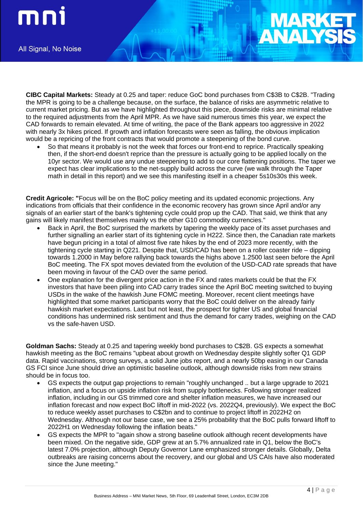mni

All Signal, No Noise

**CIBC Capital Markets:** Steady at 0.25 and taper: reduce GoC bond purchases from C\$3B to C\$2B. "Trading the MPR is going to be a challenge because, on the surface, the balance of risks are asymmetric relative to current market pricing. But as we have highlighted throughout this piece, downside risks are minimal relative to the required adjustments from the April MPR. As we have said numerous times this year, we expect the CAD forwards to remain elevated. At time of writing, the pace of the Bank appears too aggressive in 2022 with nearly 3x hikes priced. If growth and inflation forecasts were seen as falling, the obvious implication would be a repricing of the front contracts that would promote a steepening of the bond curve.

• So that means it probably is not the week that forces our front-end to reprice. Practically speaking then, if the short-end doesn't reprice than the pressure is actually going to be applied locally on the 10yr sector. We would use any undue steepening to add to our core flattening positions. The taper we expect has clear implications to the net-supply build across the curve (we walk through the Taper math in detail in this report) and we see this manifesting itself in a cheaper 5s10s30s this week.

**Credit Agricole: "**Focus will be on the BoC policy meeting and its updated economic projections. Any indications from officials that their confidence in the economic recovery has grown since April and/or any signals of an earlier start of the bank's tightening cycle could prop up the CAD. That said, we think that any gains will likely manifest themselves mainly vs the other G10 commodity currencies."

- Back in April, the BoC surprised the markets by tapering the weekly pace of its asset purchases and further signalling an earlier start of its tightening cycle in H222. Since then, the Canadian rate markets have begun pricing in a total of almost five rate hikes by the end of 2023 more recently, with the tightening cycle starting in Q221. Despite that, USD/CAD has been on a roller coaster ride – dipping towards 1.2000 in May before rallying back towards the highs above 1.2500 last seen before the April BoC meeting. The FX spot moves deviated from the evolution of the USD-CAD rate spreads that have been moving in favour of the CAD over the same period.
- One explanation for the divergent price action in the FX and rates markets could be that the FX investors that have been piling into CAD carry trades since the April BoC meeting switched to buying USDs in the wake of the hawkish June FOMC meeting. Moreover, recent client meetings have highlighted that some market participants worry that the BoC could deliver on the already fairly hawkish market expectations. Last but not least, the prospect for tighter US and global financial conditions has undermined risk sentiment and thus the demand for carry trades, weighing on the CAD vs the safe-haven USD.

**Goldman Sachs:** Steady at 0.25 and tapering weekly bond purchases to C\$2B. GS expects a somewhat hawkish meeting as the BoC remains "upbeat about growth on Wednesday despite slightly softer Q1 GDP data. Rapid vaccinations, strong surveys, a solid June jobs report, and a nearly 50bp easing in our Canada GS FCI since June should drive an optimistic baseline outlook, although downside risks from new strains should be in focus too.

- GS expects the output gap projections to remain "roughly unchanged .. but a large upgrade to 2021 inflation, and a focus on upside inflation risk from supply bottlenecks. Following stronger realized inflation, including in our GS trimmed core and shelter inflation measures, we have increased our inflation forecast and now expect BoC liftoff in mid-2022 (vs. 2022Q4, previously). We expect the BoC to reduce weekly asset purchases to C\$2bn and to continue to project liftoff in 2022H2 on Wednesday. Although not our base case, we see a 25% probability that the BoC pulls forward liftoff to 2022H1 on Wednesday following the inflation beats."
- GS expects the MPR to "again show a strong baseline outlook although recent developments have been mixed. On the negative side, GDP grew at an 5.7% annualized rate in Q1, below the BoC's latest 7.0% projection, although Deputy Governor Lane emphasized stronger details. Globally, Delta outbreaks are raising concerns about the recovery, and our global and US CAIs have also moderated since the June meeting."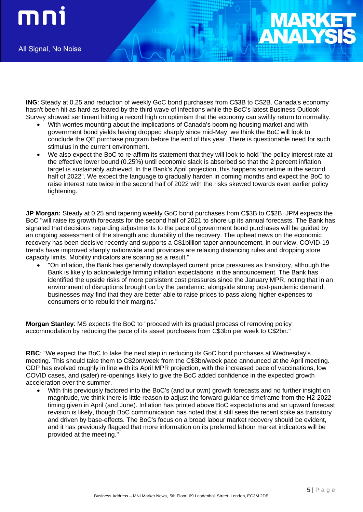**ING**: Steady at 0.25 and reduction of weekly GoC bond purchases from C\$3B to C\$2B. Canada's economy hasn't been hit as hard as feared by the third wave of infections while the BoC's latest Business Outlook Survey showed sentiment hitting a record high on optimism that the economy can swiftly return to normality.

- With worries mounting about the implications of Canada's booming housing market and with government bond yields having dropped sharply since mid-May, we think the BoC will look to conclude the QE purchase program before the end of this year. There is questionable need for such stimulus in the current environment.
- We also expect the BoC to re-affirm its statement that they will look to hold "the policy interest rate at the effective lower bound (0.25%) until economic slack is absorbed so that the 2 percent inflation target is sustainably achieved. In the Bank's April projection, this happens sometime in the second half of 2022". We expect the language to gradually harden in coming months and expect the BoC to raise interest rate twice in the second half of 2022 with the risks skewed towards even earlier policy tightening.

**JP Morgan:** Steady at 0.25 and tapering weekly GoC bond purchases from C\$3B to C\$2B. JPM expects the BoC "will raise its growth forecasts for the second half of 2021 to shore up its annual forecasts. The Bank has signaled that decisions regarding adjustments to the pace of government bond purchases will be guided by an ongoing assessment of the strength and durability of the recovery. The upbeat news on the economic recovery has been decisive recently and supports a C\$1billion taper announcement, in our view. COVID-19 trends have improved sharply nationwide and provinces are relaxing distancing rules and dropping store capacity limits. Mobility indicators are soaring as a result."

• "On inflation, the Bank has generally downplayed current price pressures as transitory, although the Bank is likely to acknowledge firming inflation expectations in the announcement. The Bank has identified the upside risks of more persistent cost pressures since the January MPR, noting that in an environment of disruptions brought on by the pandemic, alongside strong post-pandemic demand, businesses may find that they are better able to raise prices to pass along higher expenses to consumers or to rebuild their margins."

**Morgan Stanley**: MS expects the BoC to "proceed with its gradual process of removing policy accommodation by reducing the pace of its asset purchases from C\$3bn per week to C\$2bn."

**RBC**: "We expect the BoC to take the next step in reducing its GoC bond purchases at Wednesday's meeting. This should take them to C\$2bn/week from the C\$3bn/week pace announced at the April meeting. GDP has evolved roughly in line with its April MPR projection, with the increased pace of vaccinations, low COVID cases, and (safer) re-openings likely to give the BoC added confidence in the expected growth acceleration over the summer.

• With this previously factored into the BoC's (and our own) growth forecasts and no further insight on magnitude, we think there is little reason to adjust the forward guidance timeframe from the H2-2022 timing given in April (and June). Inflation has printed above BoC expectations and an upward forecast revision is likely, though BoC communication has noted that it still sees the recent spike as transitory and driven by base-effects. The BoC's focus on a broad labour market recovery should be evident, and it has previously flagged that more information on its preferred labour market indicators will be provided at the meeting."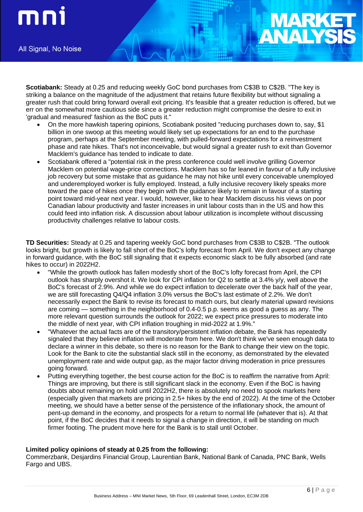

**Scotiabank:** Steady at 0.25 and reducing weekly GoC bond purchases from C\$3B to C\$2B. "The key is striking a balance on the magnitude of the adjustment that retains future flexibility but without signaling a greater rush that could bring forward overall exit pricing. It's feasible that a greater reduction is offered, but we err on the somewhat more cautious side since a greater reduction might compromise the desire to exit in 'gradual and measured' fashion as the BoC puts it."

- On the more hawkish tapering opinions, Scotiabank posited "reducing purchases down to, say, \$1 billion in one swoop at this meeting would likely set up expectations for an end to the purchase program, perhaps at the September meeting, with pulled-forward expectations for a reinvestment phase and rate hikes. That's not inconceivable, but would signal a greater rush to exit than Governor Macklem's guidance has tended to indicate to date.
- Scotiabank offered a "potential risk in the press conference could well involve grilling Governor Macklem on potential wage-price connections. Macklem has so far leaned in favour of a fully inclusive job recovery but some mistake that as guidance he may not hike until every conceivable unemployed and underemployed worker is fully employed. Instead, a fully inclusive recovery likely speaks more toward the pace of hikes once they begin with the guidance likely to remain in favour of a starting point toward mid-year next year. I would, however, like to hear Macklem discuss his views on poor Canadian labour productivity and faster increases in unit labour costs than in the US and how this could feed into inflation risk. A discussion about labour utilization is incomplete without discussing productivity challenges relative to labour costs.

**TD Securities:** Steady at 0.25 and tapering weekly GoC bond purchases from C\$3B to C\$2B. "The outlook looks bright, but growth is likely to fall short of the BoC's lofty forecast from April. We don't expect any change in forward guidance, with the BoC still signaling that it expects economic slack to be fully absorbed (and rate hikes to occur) in 2022H2.

- "While the growth outlook has fallen modestly short of the BoC's lofty forecast from April, the CPI outlook has sharply overshot it. We look for CPI inflation for Q2 to settle at 3.4% y/y, well above the BoC's forecast of 2.9%. And while we do expect inflation to decelerate over the back half of the year, we are still forecasting Q4/Q4 inflation 3.0% versus the BoC's last estimate of 2.2%. We don't necessarily expect the Bank to revise its forecast to match ours, but clearly material upward revisions are coming — something in the neighborhood of 0.4-0.5 p.p. seems as good a guess as any. The more relevant question surrounds the outlook for 2022; we expect price pressures to moderate into the middle of next year, with CPI inflation troughing in mid-2022 at 1.9%."
- "Whatever the actual facts are of the transitory/persistent inflation debate, the Bank has repeatedly signaled that they believe inflation will moderate from here. We don't think we've seen enough data to declare a winner in this debate, so there is no reason for the Bank to change their view on the topic. Look for the Bank to cite the substantial slack still in the economy, as demonstrated by the elevated unemployment rate and wide output gap, as the major factor driving moderation in price pressures going forward.
- Putting everything together, the best course action for the BoC is to reaffirm the narrative from April: Things are improving, but there is still significant slack in the economy. Even if the BoC is having doubts about remaining on hold until 2022H2, there is absolutely no need to spook markets here (especially given that markets are pricing in 2.5+ hikes by the end of 2022). At the time of the October meeting, we should have a better sense of the persistence of the inflationary shock, the amount of pent-up demand in the economy, and prospects for a return to normal life (whatever that is). At that point, if the BoC decides that it needs to signal a change in direction, it will be standing on much firmer footing. The prudent move here for the Bank is to stall until October.

### **Limited policy opinions of steady at 0.25 from the following:**

Commerzbank, Desjardins Financial Group, Laurentian Bank, National Bank of Canada, PNC Bank, Wells Fargo and UBS.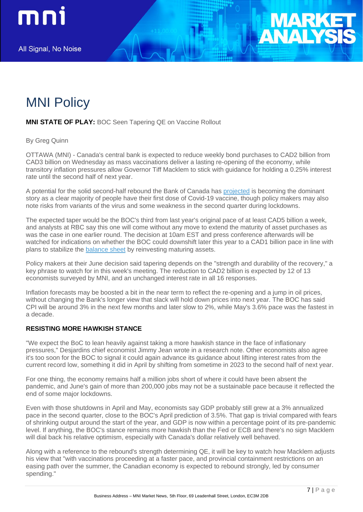



### **MNI STATE OF PLAY:** BOC Seen Tapering QE on Vaccine Rollout

By Greg Quinn

OTTAWA (MNI) - Canada's central bank is expected to reduce weekly bond purchases to CAD2 billion from CAD3 billion on Wednesday as mass vaccinations deliver a lasting re-opening of the economy, while transitory inflation pressures allow Governor Tiff Macklem to stick with guidance for holding a 0.25% interest rate until the second half of next year.

A potential for the solid second-half rebound the Bank of Canada has [projected](https://enews.marketnews.com/ct/uz8890854Biz49118193) is becoming the dominant story as a clear majority of people have their first dose of Covid-19 vaccine, though policy makers may also note risks from variants of the virus and some weakness in the second quarter during lockdowns.

The expected taper would be the BOC's third from last year's original pace of at least CAD5 billion a week, and analysts at RBC say this one will come without any move to extend the maturity of asset purchases as was the case in one earlier round. The decision at 10am EST and press conference afterwards will be watched for indications on whether the BOC could downshift later this year to a CAD1 billion pace in line with plans to stabilize the [balance sheet](https://enews.marketnews.com/ct/uz8890854Biz49118194) by reinvesting maturing assets.

Policy makers at their June decision said tapering depends on the "strength and durability of the recovery," a key phrase to watch for in this week's meeting. The reduction to CAD2 billion is expected by 12 of 13 economists surveyed by MNI, and an unchanged interest rate in all 16 responses.

Inflation forecasts may be boosted a bit in the near term to reflect the re-opening and a jump in oil prices, without changing the Bank's longer view that slack will hold down prices into next year. The BOC has said CPI will be around 3% in the next few months and later slow to 2%, while May's 3.6% pace was the fastest in a decade.

### **RESISTING MORE HAWKISH STANCE**

"We expect the BoC to lean heavily against taking a more hawkish stance in the face of inflationary pressures," Desjardins chief economist Jimmy Jean wrote in a research note. Other economists also agree it's too soon for the BOC to signal it could again advance its guidance about lifting interest rates from the current record low, something it did in April by shifting from sometime in 2023 to the second half of next year.

For one thing, the economy remains half a million jobs short of where it could have been absent the pandemic, and June's gain of more than 200,000 jobs may not be a sustainable pace because it reflected the end of some major lockdowns.

Even with those shutdowns in April and May, economists say GDP probably still grew at a 3% annualized pace in the second quarter, close to the BOC's April prediction of 3.5%. That gap is trivial compared with fears of shrinking output around the start of the year, and GDP is now within a percentage point of its pre-pandemic level. If anything, the BOC's stance remains more hawkish than the Fed or ECB and there's no sign Macklem will dial back his relative optimism, especially with Canada's dollar relatively well behaved.

Along with a reference to the rebound's strength determining QE, it will be key to watch how Macklem adjusts his view that "with vaccinations proceeding at a faster pace, and provincial containment restrictions on an easing path over the summer, the Canadian economy is expected to rebound strongly, led by consumer spending."